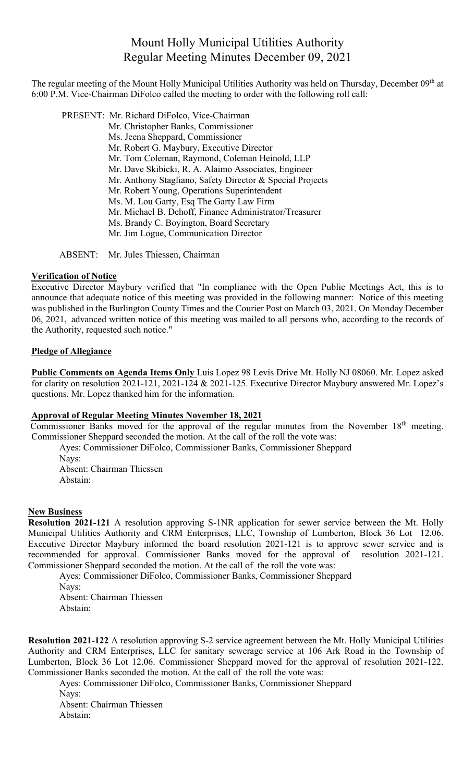# Mount Holly Municipal Utilities Authority Regular Meeting Minutes December 09, 2021

The regular meeting of the Mount Holly Municipal Utilities Authority was held on Thursday, December 09<sup>th</sup> at 6:00 P.M. Vice-Chairman DiFolco called the meeting to order with the following roll call:

 PRESENT: Mr. Richard DiFolco, Vice-Chairman Mr. Christopher Banks, Commissioner Ms. Jeena Sheppard, Commissioner Mr. Robert G. Maybury, Executive Director Mr. Tom Coleman, Raymond, Coleman Heinold, LLP Mr. Dave Skibicki, R. A. Alaimo Associates, Engineer Mr. Anthony Stagliano, Safety Director & Special Projects Mr. Robert Young, Operations Superintendent Ms. M. Lou Garty, Esq The Garty Law Firm Mr. Michael B. Dehoff, Finance Administrator/Treasurer Ms. Brandy C. Boyington, Board Secretary Mr. Jim Logue, Communication Director

ABSENT: Mr. Jules Thiessen, Chairman

## **Verification of Notice**

Executive Director Maybury verified that "In compliance with the Open Public Meetings Act, this is to announce that adequate notice of this meeting was provided in the following manner: Notice of this meeting was published in the Burlington County Times and the Courier Post on March 03, 2021. On Monday December 06, 2021, advanced written notice of this meeting was mailed to all persons who, according to the records of the Authority, requested such notice."

## **Pledge of Allegiance**

**Public Comments on Agenda Items Only** Luis Lopez 98 Levis Drive Mt. Holly NJ 08060. Mr. Lopez asked for clarity on resolution 2021-121, 2021-124 & 2021-125. Executive Director Maybury answered Mr. Lopez's questions. Mr. Lopez thanked him for the information.

## **Approval of Regular Meeting Minutes November 18, 2021**

Commissioner Banks moved for the approval of the regular minutes from the November  $18<sup>th</sup>$  meeting. Commissioner Sheppard seconded the motion. At the call of the roll the vote was:

Ayes: Commissioner DiFolco, Commissioner Banks, Commissioner Sheppard

Nays: Absent: Chairman Thiessen Abstain:

## **New Business**

**Resolution 2021-121** A resolution approving S-1NR application for sewer service between the Mt. Holly Municipal Utilities Authority and CRM Enterprises, LLC, Township of Lumberton, Block 36 Lot 12.06. Executive Director Maybury informed the board resolution 2021-121 is to approve sewer service and is recommended for approval. Commissioner Banks moved for the approval of resolution 2021-121. Commissioner Sheppard seconded the motion. At the call of the roll the vote was:

Ayes: Commissioner DiFolco, Commissioner Banks, Commissioner Sheppard

Navs:

Absent: Chairman Thiessen Abstain:

**Resolution 2021-122** A resolution approving S-2 service agreement between the Mt. Holly Municipal Utilities Authority and CRM Enterprises, LLC for sanitary sewerage service at 106 Ark Road in the Township of Lumberton, Block 36 Lot 12.06. Commissioner Sheppard moved for the approval of resolution 2021-122. Commissioner Banks seconded the motion. At the call of the roll the vote was:

Ayes: Commissioner DiFolco, Commissioner Banks, Commissioner Sheppard Navs: Absent: Chairman Thiessen

Abstain: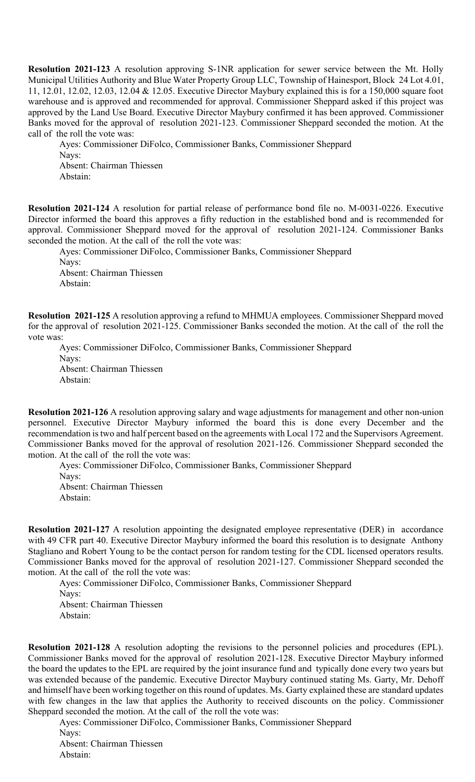**Resolution 2021-123** A resolution approving S-1NR application for sewer service between the Mt. Holly Municipal Utilities Authority and Blue Water Property Group LLC, Township of Hainesport, Block 24 Lot 4.01, 11, 12.01, 12.02, 12.03, 12.04 & 12.05. Executive Director Maybury explained this is for a 150,000 square foot warehouse and is approved and recommended for approval. Commissioner Sheppard asked if this project was approved by the Land Use Board. Executive Director Maybury confirmed it has been approved. Commissioner Banks moved for the approval of resolution 2021-123. Commissioner Sheppard seconded the motion. At the call of the roll the vote was:

Ayes: Commissioner DiFolco, Commissioner Banks, Commissioner Sheppard Nays: Absent: Chairman Thiessen Abstain:

**Resolution 2021-124** A resolution for partial release of performance bond file no. M-0031-0226. Executive Director informed the board this approves a fifty reduction in the established bond and is recommended for approval. Commissioner Sheppard moved for the approval of resolution 2021-124. Commissioner Banks seconded the motion. At the call of the roll the vote was:

Ayes: Commissioner DiFolco, Commissioner Banks, Commissioner Sheppard Navs: Absent: Chairman Thiessen Abstain:

**Resolution 2021-125** A resolution approving a refund to MHMUA employees. Commissioner Sheppard moved for the approval of resolution 2021-125. Commissioner Banks seconded the motion. At the call of the roll the vote was:

Ayes: Commissioner DiFolco, Commissioner Banks, Commissioner Sheppard Nays: Absent: Chairman Thiessen Abstain:

**Resolution 2021-126** A resolution approving salary and wage adjustments for management and other non-union personnel. Executive Director Maybury informed the board this is done every December and the recommendation is two and half percent based on the agreements with Local 172 and the Supervisors Agreement. Commissioner Banks moved for the approval of resolution 2021-126. Commissioner Sheppard seconded the motion. At the call of the roll the vote was:

Ayes: Commissioner DiFolco, Commissioner Banks, Commissioner Sheppard Nays: Absent: Chairman Thiessen Abstain:

**Resolution 2021-127** A resolution appointing the designated employee representative (DER) in accordance with 49 CFR part 40. Executive Director Maybury informed the board this resolution is to designate Anthony Stagliano and Robert Young to be the contact person for random testing for the CDL licensed operators results. Commissioner Banks moved for the approval of resolution 2021-127. Commissioner Sheppard seconded the motion. At the call of the roll the vote was:

Ayes: Commissioner DiFolco, Commissioner Banks, Commissioner Sheppard Nays: Absent: Chairman Thiessen Abstain:

**Resolution 2021-128** A resolution adopting the revisions to the personnel policies and procedures (EPL). Commissioner Banks moved for the approval of resolution 2021-128. Executive Director Maybury informed the board the updates to the EPL are required by the joint insurance fund and typically done every two years but was extended because of the pandemic. Executive Director Maybury continued stating Ms. Garty, Mr. Dehoff and himself have been working together on this round of updates. Ms. Garty explained these are standard updates with few changes in the law that applies the Authority to received discounts on the policy. Commissioner Sheppard seconded the motion. At the call of the roll the vote was:

Ayes: Commissioner DiFolco, Commissioner Banks, Commissioner Sheppard Navs: Absent: Chairman Thiessen

Abstain: